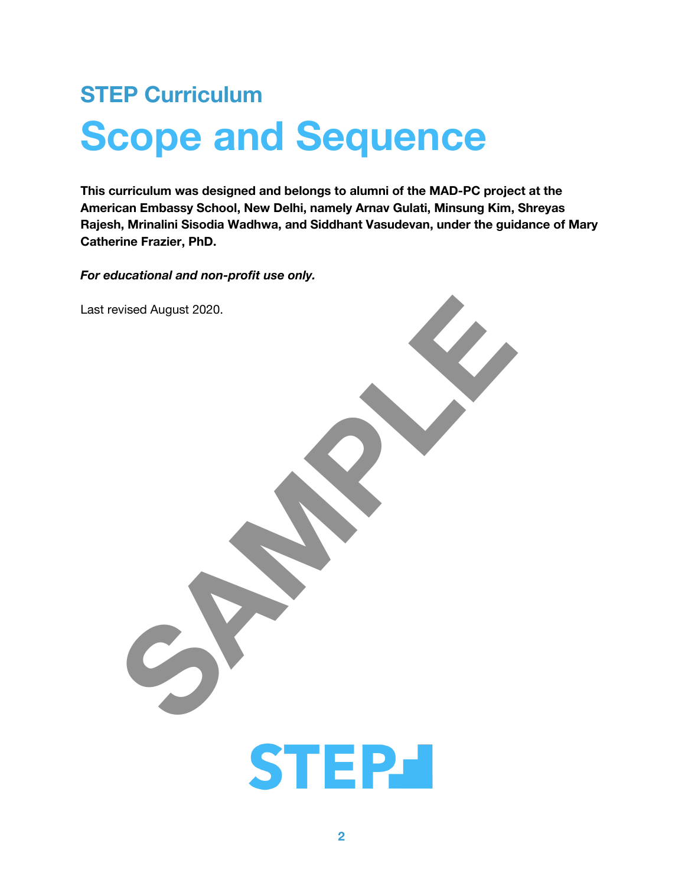# **STEP Curriculum Scope and Sequence**

This curriculum was designed and belongs to alumni of the MAD-PC project at the American Embassy School, New Delhi, namely Arnav Gulati, Minsung Kim, Shreyas Rajesh, Mrinalini Sisodia Wadhwa, and Siddhant Vasudevan, under the guidance of Mary **Catherine Frazier, PhD.** 

For educational and non-profit use only.

Last revised August 2020.

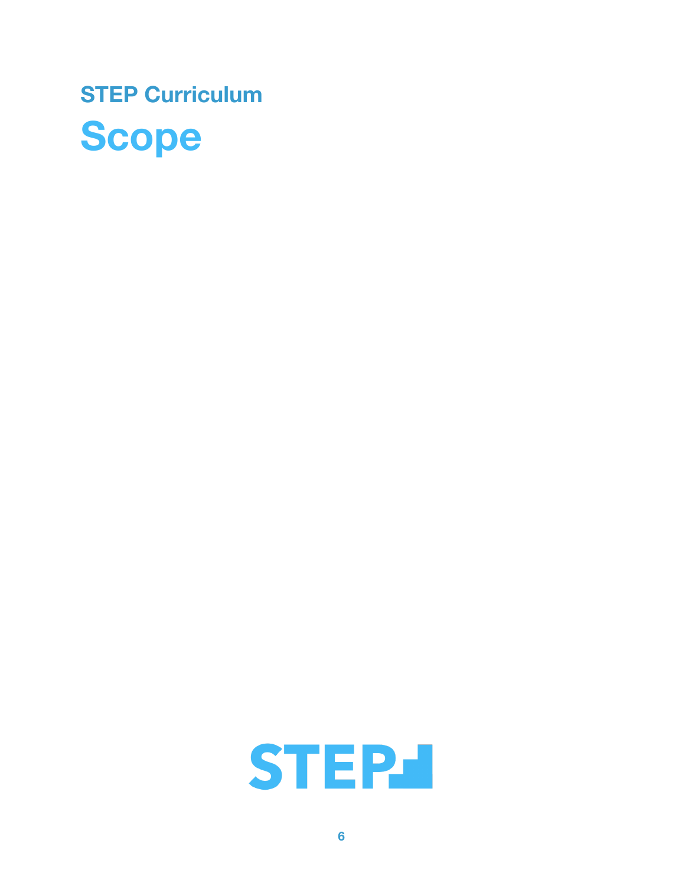

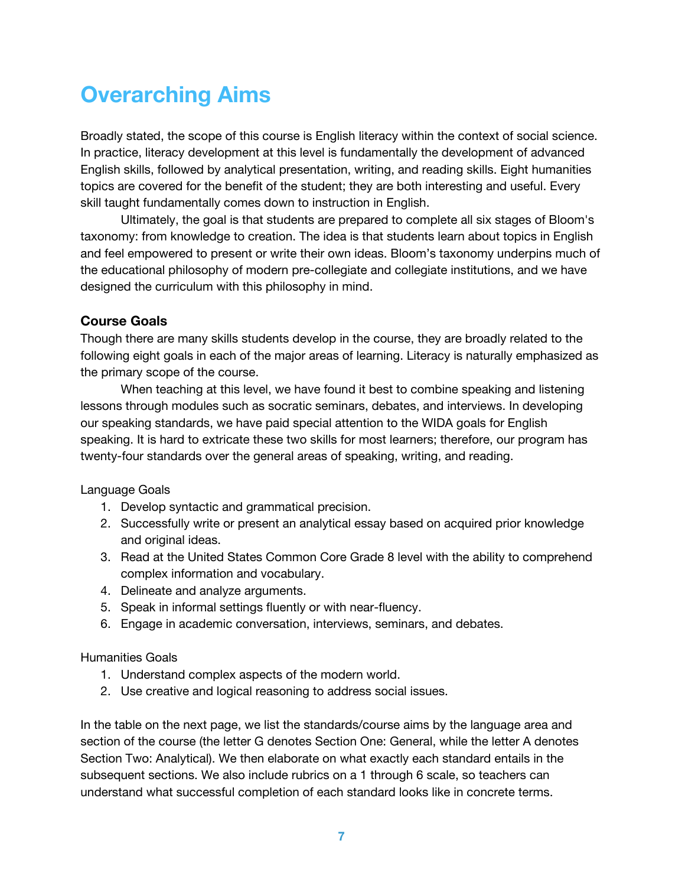# **Overarching Aims**

Broadly stated, the scope of this course is English literacy within the context of social science. In practice, literacy development at this level is fundamentally the development of advanced English skills, followed by analytical presentation, writing, and reading skills. Eight humanities topics are covered for the benefit of the student; they are both interesting and useful. Every skill taught fundamentally comes down to instruction in English.

Ultimately, the goal is that students are prepared to complete all six stages of Bloom's taxonomy: from knowledge to creation. The idea is that students learn about topics in English and feel empowered to present or write their own ideas. Bloom's taxonomy underpins much of the educational philosophy of modern pre-collegiate and collegiate institutions, and we have designed the curriculum with this philosophy in mind.

#### **Course Goals**

Though there are many skills students develop in the course, they are broadly related to the following eight goals in each of the major areas of learning. Literacy is naturally emphasized as the primary scope of the course.

When teaching at this level, we have found it best to combine speaking and listening lessons through modules such as socratic seminars, debates, and interviews. In developing our speaking standards, we have paid special attention to the WIDA goals for English speaking. It is hard to extricate these two skills for most learners; therefore, our program has twenty-four standards over the general areas of speaking, writing, and reading.

Language Goals

- 1. Develop syntactic and grammatical precision.
- 2. Successfully write or present an analytical essay based on acquired prior knowledge and original ideas.
- 3. Read at the United States Common Core Grade 8 level with the ability to comprehend complex information and vocabulary.
- 4. Delineate and analyze arguments.
- 5. Speak in informal settings fluently or with near-fluency.
- 6. Engage in academic conversation, interviews, seminars, and debates.

#### **Humanities Goals**

- 1. Understand complex aspects of the modern world.
- 2. Use creative and logical reasoning to address social issues.

In the table on the next page, we list the standards/course aims by the language area and section of the course (the letter G denotes Section One: General, while the letter A denotes Section Two: Analytical). We then elaborate on what exactly each standard entails in the subsequent sections. We also include rubrics on a 1 through 6 scale, so teachers can understand what successful completion of each standard looks like in concrete terms.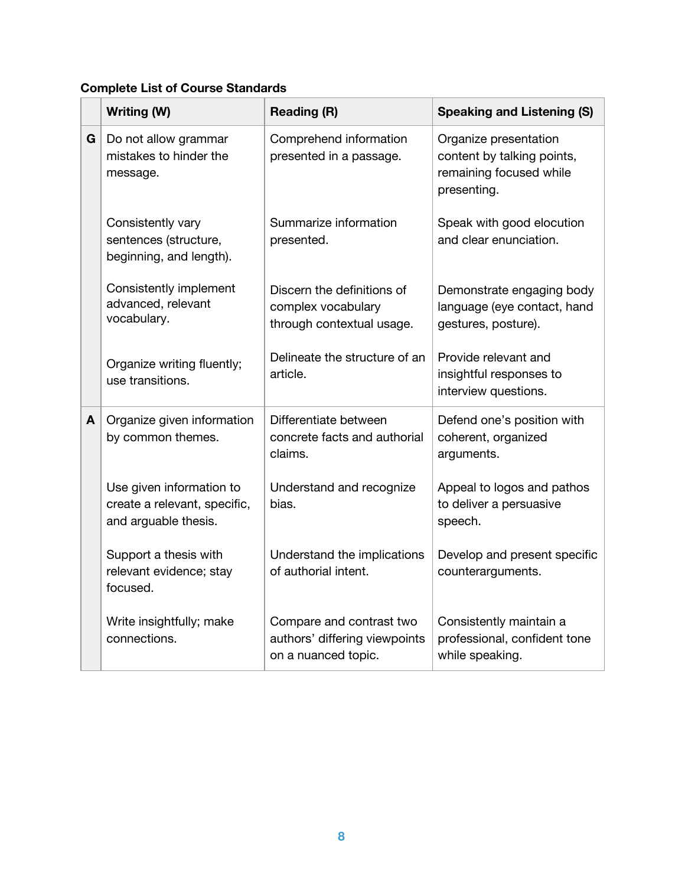#### **Complete List of Course Standards**

|   | Writing (W)                                                                      | <b>Reading (R)</b>                                                               | <b>Speaking and Listening (S)</b>                                                             |
|---|----------------------------------------------------------------------------------|----------------------------------------------------------------------------------|-----------------------------------------------------------------------------------------------|
| G | Do not allow grammar<br>mistakes to hinder the<br>message.                       | Comprehend information<br>presented in a passage.                                | Organize presentation<br>content by talking points,<br>remaining focused while<br>presenting. |
|   | Consistently vary<br>sentences (structure,<br>beginning, and length).            | Summarize information<br>presented.                                              | Speak with good elocution<br>and clear enunciation.                                           |
|   | Consistently implement<br>advanced, relevant<br>vocabulary.                      | Discern the definitions of<br>complex vocabulary<br>through contextual usage.    | Demonstrate engaging body<br>language (eye contact, hand<br>gestures, posture).               |
|   | Organize writing fluently;<br>use transitions.                                   | Delineate the structure of an<br>article.                                        | Provide relevant and<br>insightful responses to<br>interview questions.                       |
| A | Organize given information<br>by common themes.                                  | Differentiate between<br>concrete facts and authorial<br>claims.                 | Defend one's position with<br>coherent, organized<br>arguments.                               |
|   | Use given information to<br>create a relevant, specific,<br>and arguable thesis. | Understand and recognize<br>bias.                                                | Appeal to logos and pathos<br>to deliver a persuasive<br>speech.                              |
|   | Support a thesis with<br>relevant evidence; stay<br>focused.                     | Understand the implications<br>of authorial intent.                              | Develop and present specific<br>counterarguments.                                             |
|   | Write insightfully; make<br>connections.                                         | Compare and contrast two<br>authors' differing viewpoints<br>on a nuanced topic. | Consistently maintain a<br>professional, confident tone<br>while speaking.                    |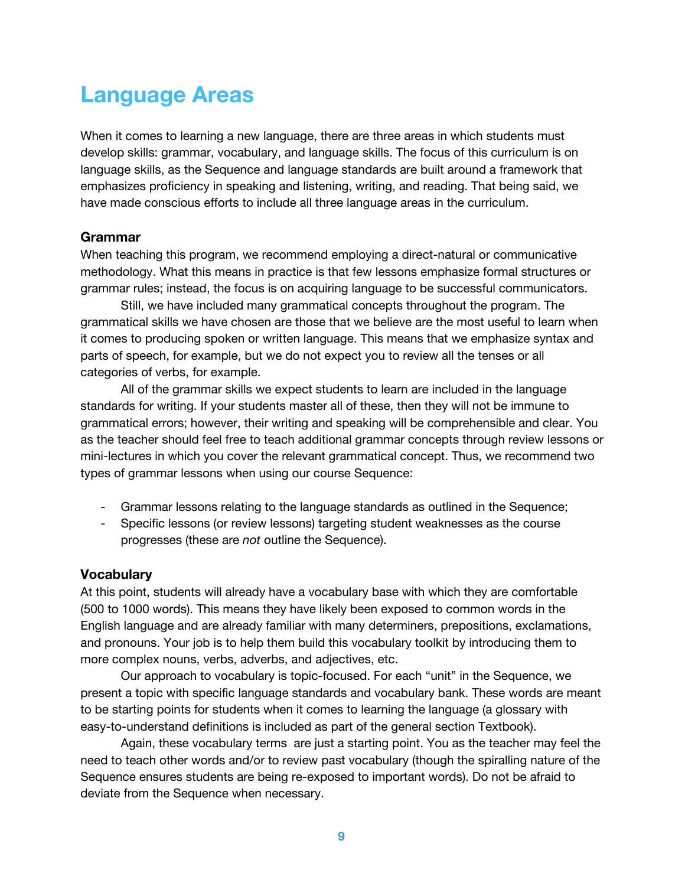# **Language Areas**

When it comes to learning a new language, there are three areas in which students must develop skills: grammar, vocabulary, and language skills. The focus of this curriculum is on language skills, as the Sequence and language standards are built around a framework that emphasizes proficiency in speaking and listening, writing, and reading. That being said, we have made conscious efforts to include all three language areas in the curriculum.

#### **Grammar**

When teaching this program, we recommend employing a direct-natural or communicative methodology. What this means in practice is that few lessons emphasize formal structures or grammar rules; instead, the focus is on acquiring language to be successful communicators.

Still, we have included many grammatical concepts throughout the program. The grammatical skills we have chosen are those that we believe are the most useful to learn when it comes to producing spoken or written language. This means that we emphasize syntax and parts of speech, for example, but we do not expect you to review all the tenses or all categories of verbs, for example.

All of the grammar skills we expect students to learn are included in the language standards for writing. If your students master all of these, then they will not be immune to grammatical errors; however, their writing and speaking will be comprehensible and clear. You as the teacher should feel free to teach additional grammar concepts through review lessons or mini-lectures in which you cover the relevant grammatical concept. Thus, we recommend two types of grammar lessons when using our course Sequence:

- Grammar lessons relating to the language standards as outlined in the Sequence;
- Specific lessons (or review lessons) targeting student weaknesses as the course progresses (these are not outline the Sequence).

#### **Vocabulary**

At this point, students will already have a vocabulary base with which they are comfortable (500 to 1000 words). This means they have likely been exposed to common words in the English language and are already familiar with many determiners, prepositions, exclamations, and pronouns. Your job is to help them build this vocabulary toolkit by introducing them to more complex nouns, verbs, adverbs, and adjectives, etc.

Our approach to vocabulary is topic-focused. For each "unit" in the Sequence, we present a topic with specific language standards and vocabulary bank. These words are meant to be starting points for students when it comes to learning the language (a glossary with easy-to-understand definitions is included as part of the general section Textbook).

Again, these vocabulary terms are just a starting point. You as the teacher may feel the need to teach other words and/or to review past vocabulary (though the spiralling nature of the Sequence ensures students are being re-exposed to important words). Do not be afraid to deviate from the Sequence when necessary.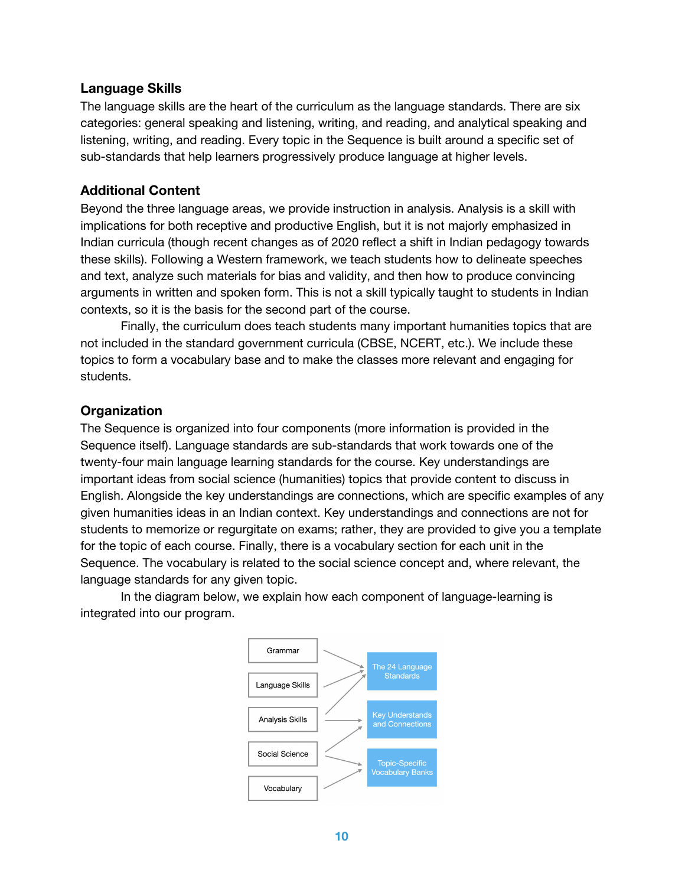#### **Language Skills**

The language skills are the heart of the curriculum as the language standards. There are six categories: general speaking and listening, writing, and reading, and analytical speaking and listening, writing, and reading. Every topic in the Sequence is built around a specific set of sub-standards that help learners progressively produce language at higher levels.

#### **Additional Content**

Beyond the three language areas, we provide instruction in analysis. Analysis is a skill with implications for both receptive and productive English, but it is not majorly emphasized in Indian curricula (though recent changes as of 2020 reflect a shift in Indian pedagogy towards these skills). Following a Western framework, we teach students how to delineate speeches and text, analyze such materials for bias and validity, and then how to produce convincing arguments in written and spoken form. This is not a skill typically taught to students in Indian contexts, so it is the basis for the second part of the course.

Finally, the curriculum does teach students many important humanities topics that are not included in the standard government curricula (CBSE, NCERT, etc.). We include these topics to form a vocabulary base and to make the classes more relevant and engaging for students.

#### Organization

The Sequence is organized into four components (more information is provided in the Sequence itself). Language standards are sub-standards that work towards one of the twenty-four main language learning standards for the course. Key understandings are important ideas from social science (humanities) topics that provide content to discuss in English. Alongside the key understandings are connections, which are specific examples of any given humanities ideas in an Indian context. Key understandings and connections are not for students to memorize or regurgitate on exams; rather, they are provided to give you a template for the topic of each course. Finally, there is a vocabulary section for each unit in the Sequence. The vocabulary is related to the social science concept and, where relevant, the language standards for any given topic.

In the diagram below, we explain how each component of language-learning is integrated into our program.

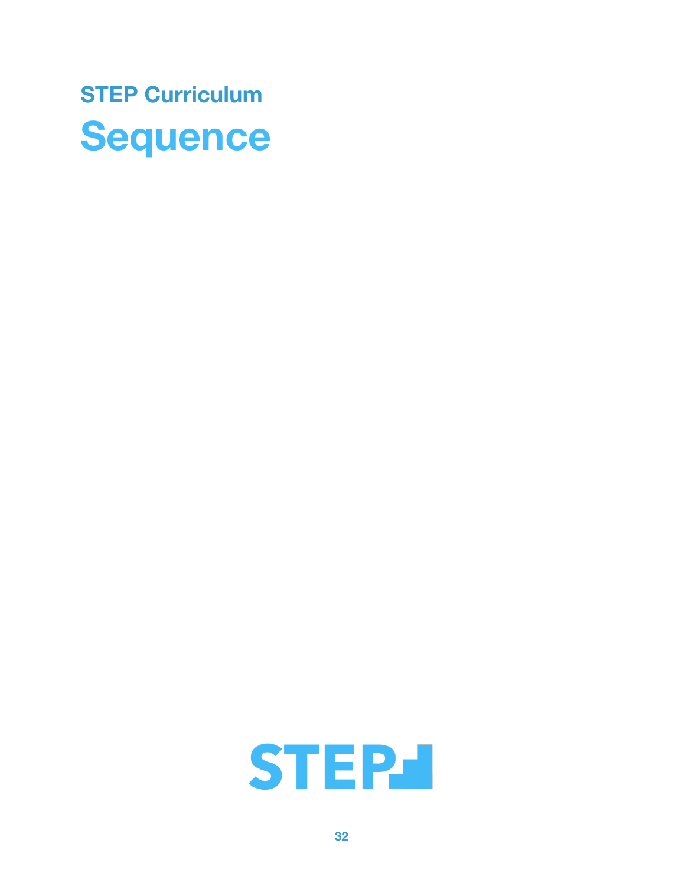

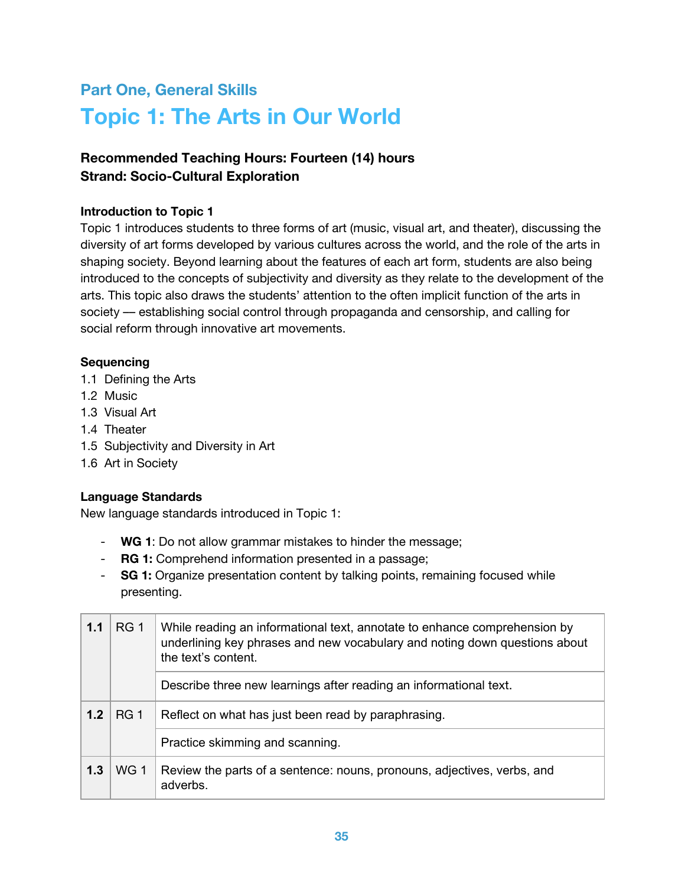## **Part One, General Skills Topic 1: The Arts in Our World**

### **Recommended Teaching Hours: Fourteen (14) hours Strand: Socio-Cultural Exploration**

#### **Introduction to Topic 1**

Topic 1 introduces students to three forms of art (music, visual art, and theater), discussing the diversity of art forms developed by various cultures across the world, and the role of the arts in shaping society. Beyond learning about the features of each art form, students are also being introduced to the concepts of subjectivity and diversity as they relate to the development of the arts. This topic also draws the students' attention to the often implicit function of the arts in society — establishing social control through propaganda and censorship, and calling for social reform through innovative art movements.

#### **Sequencing**

- 1.1 Defining the Arts
- 1.2 Music
- 1.3 Visual Art
- 1.4 Theater
- 1.5 Subjectivity and Diversity in Art
- 1.6 Art in Society

#### **Language Standards**

New language standards introduced in Topic 1:

- WG 1: Do not allow grammar mistakes to hinder the message;
- RG 1: Comprehend information presented in a passage;
- SG 1: Organize presentation content by talking points, remaining focused while presenting.

| RG <sub>1</sub><br>1.1<br>the text's content. |             | While reading an informational text, annotate to enhance comprehension by<br>underlining key phrases and new vocabulary and noting down questions about |
|-----------------------------------------------|-------------|---------------------------------------------------------------------------------------------------------------------------------------------------------|
|                                               |             | Describe three new learnings after reading an informational text.                                                                                       |
| 1.2                                           | <b>RG 1</b> | Reflect on what has just been read by paraphrasing.                                                                                                     |
|                                               |             | Practice skimming and scanning.                                                                                                                         |
| 1.3                                           | WG 1        | Review the parts of a sentence: nouns, pronouns, adjectives, verbs, and<br>adverbs.                                                                     |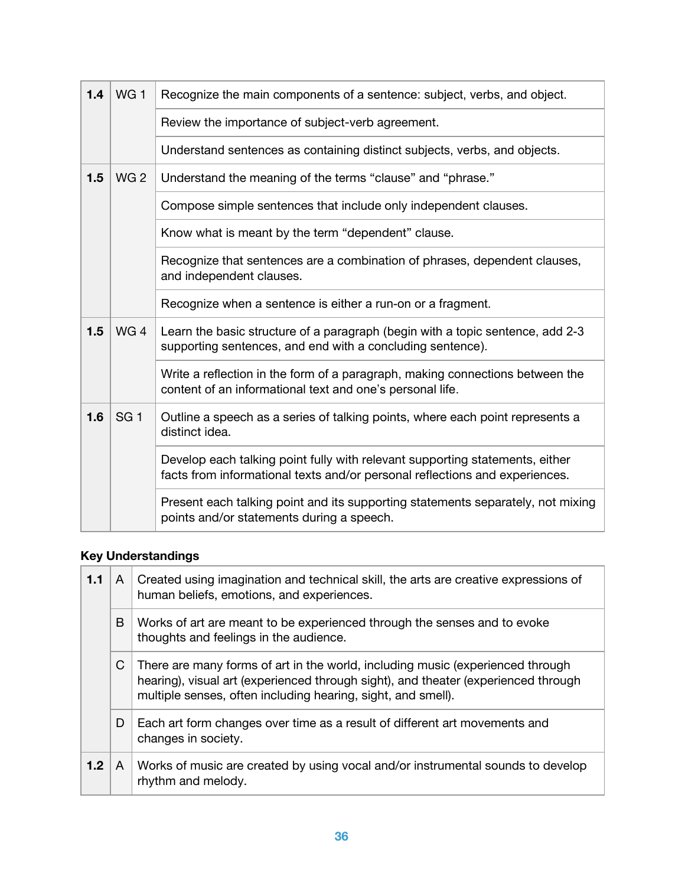| 1.4 | WG <sub>1</sub> | Recognize the main components of a sentence: subject, verbs, and object.                                                                                    |
|-----|-----------------|-------------------------------------------------------------------------------------------------------------------------------------------------------------|
|     |                 | Review the importance of subject-verb agreement.                                                                                                            |
|     |                 | Understand sentences as containing distinct subjects, verbs, and objects.                                                                                   |
| 1.5 | WG <sub>2</sub> | Understand the meaning of the terms "clause" and "phrase."                                                                                                  |
|     |                 | Compose simple sentences that include only independent clauses.                                                                                             |
|     |                 | Know what is meant by the term "dependent" clause.                                                                                                          |
|     |                 | Recognize that sentences are a combination of phrases, dependent clauses,<br>and independent clauses.                                                       |
|     |                 | Recognize when a sentence is either a run-on or a fragment.                                                                                                 |
| 1.5 | WG4             | Learn the basic structure of a paragraph (begin with a topic sentence, add 2-3<br>supporting sentences, and end with a concluding sentence).                |
|     |                 | Write a reflection in the form of a paragraph, making connections between the<br>content of an informational text and one's personal life.                  |
| 1.6 | SG <sub>1</sub> | Outline a speech as a series of talking points, where each point represents a<br>distinct idea.                                                             |
|     |                 | Develop each talking point fully with relevant supporting statements, either<br>facts from informational texts and/or personal reflections and experiences. |
|     |                 | Present each talking point and its supporting statements separately, not mixing<br>points and/or statements during a speech.                                |

### **Key Understandings**

| 1.1 | A | Created using imagination and technical skill, the arts are creative expressions of<br>human beliefs, emotions, and experiences.                                                                                                     |
|-----|---|--------------------------------------------------------------------------------------------------------------------------------------------------------------------------------------------------------------------------------------|
|     | B | Works of art are meant to be experienced through the senses and to evoke<br>thoughts and feelings in the audience.                                                                                                                   |
|     | C | There are many forms of art in the world, including music (experienced through<br>hearing), visual art (experienced through sight), and theater (experienced through<br>multiple senses, often including hearing, sight, and smell). |
|     | D | Each art form changes over time as a result of different art movements and<br>changes in society.                                                                                                                                    |
| 1.2 | A | Works of music are created by using vocal and/or instrumental sounds to develop<br>rhythm and melody.                                                                                                                                |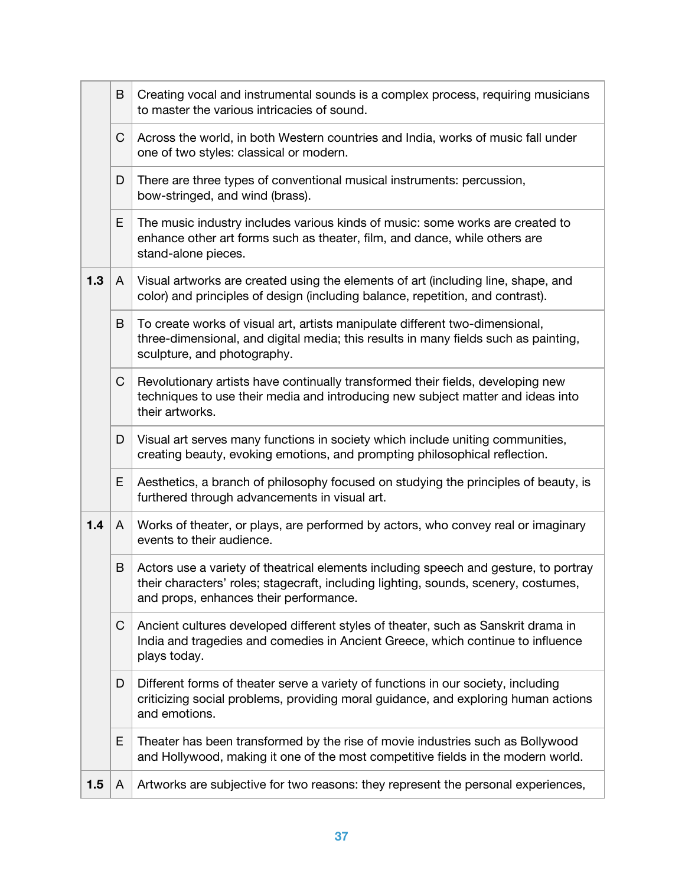|     | B | Creating vocal and instrumental sounds is a complex process, requiring musicians<br>to master the various intricacies of sound.                                                                                       |
|-----|---|-----------------------------------------------------------------------------------------------------------------------------------------------------------------------------------------------------------------------|
|     | C | Across the world, in both Western countries and India, works of music fall under<br>one of two styles: classical or modern.                                                                                           |
|     | D | There are three types of conventional musical instruments: percussion,<br>bow-stringed, and wind (brass).                                                                                                             |
|     | E | The music industry includes various kinds of music: some works are created to<br>enhance other art forms such as theater, film, and dance, while others are<br>stand-alone pieces.                                    |
| 1.3 | A | Visual artworks are created using the elements of art (including line, shape, and<br>color) and principles of design (including balance, repetition, and contrast).                                                   |
|     | B | To create works of visual art, artists manipulate different two-dimensional,<br>three-dimensional, and digital media; this results in many fields such as painting,<br>sculpture, and photography.                    |
|     | C | Revolutionary artists have continually transformed their fields, developing new<br>techniques to use their media and introducing new subject matter and ideas into<br>their artworks.                                 |
|     | D | Visual art serves many functions in society which include uniting communities,<br>creating beauty, evoking emotions, and prompting philosophical reflection.                                                          |
|     | E | Aesthetics, a branch of philosophy focused on studying the principles of beauty, is<br>furthered through advancements in visual art.                                                                                  |
| 1.4 | A | Works of theater, or plays, are performed by actors, who convey real or imaginary<br>events to their audience.                                                                                                        |
|     | B | Actors use a variety of theatrical elements including speech and gesture, to portray<br>their characters' roles; stagecraft, including lighting, sounds, scenery, costumes,<br>and props, enhances their performance. |
|     | C | Ancient cultures developed different styles of theater, such as Sanskrit drama in<br>India and tragedies and comedies in Ancient Greece, which continue to influence<br>plays today.                                  |
|     | D | Different forms of theater serve a variety of functions in our society, including<br>criticizing social problems, providing moral guidance, and exploring human actions<br>and emotions.                              |
|     | Ε | Theater has been transformed by the rise of movie industries such as Bollywood<br>and Hollywood, making it one of the most competitive fields in the modern world.                                                    |
| 1.5 | A | Artworks are subjective for two reasons: they represent the personal experiences,                                                                                                                                     |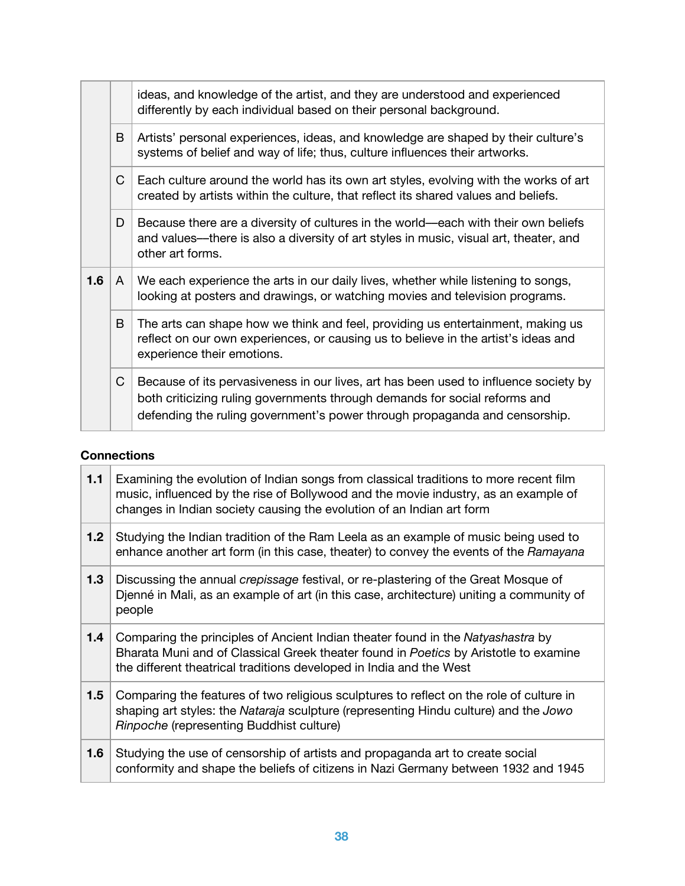|     |              | ideas, and knowledge of the artist, and they are understood and experienced<br>differently by each individual based on their personal background.                                                                                                |
|-----|--------------|--------------------------------------------------------------------------------------------------------------------------------------------------------------------------------------------------------------------------------------------------|
|     | B            | Artists' personal experiences, ideas, and knowledge are shaped by their culture's<br>systems of belief and way of life; thus, culture influences their artworks.                                                                                 |
|     | C            | Each culture around the world has its own art styles, evolving with the works of art<br>created by artists within the culture, that reflect its shared values and beliefs.                                                                       |
|     | D            | Because there are a diversity of cultures in the world—each with their own beliefs<br>and values—there is also a diversity of art styles in music, visual art, theater, and<br>other art forms.                                                  |
| 1.6 | $\mathsf{A}$ | We each experience the arts in our daily lives, whether while listening to songs,<br>looking at posters and drawings, or watching movies and television programs.                                                                                |
|     | B            | The arts can shape how we think and feel, providing us entertainment, making us<br>reflect on our own experiences, or causing us to believe in the artist's ideas and<br>experience their emotions.                                              |
|     | C            | Because of its pervasiveness in our lives, art has been used to influence society by<br>both criticizing ruling governments through demands for social reforms and<br>defending the ruling government's power through propaganda and censorship. |

#### **Connections**

| 1.1 | Examining the evolution of Indian songs from classical traditions to more recent film<br>music, influenced by the rise of Bollywood and the movie industry, as an example of<br>changes in Indian society causing the evolution of an Indian art form |
|-----|-------------------------------------------------------------------------------------------------------------------------------------------------------------------------------------------------------------------------------------------------------|
| 1.2 | Studying the Indian tradition of the Ram Leela as an example of music being used to<br>enhance another art form (in this case, theater) to convey the events of the Ramayana                                                                          |
| 1.3 | Discussing the annual <i>crepissage</i> festival, or re-plastering of the Great Mosque of<br>Djenné in Mali, as an example of art (in this case, architecture) uniting a community of<br>people                                                       |
| 1.4 | Comparing the principles of Ancient Indian theater found in the Natyashastra by<br>Bharata Muni and of Classical Greek theater found in Poetics by Aristotle to examine<br>the different theatrical traditions developed in India and the West        |
| 1.5 | Comparing the features of two religious sculptures to reflect on the role of culture in<br>shaping art styles: the Nataraja sculpture (representing Hindu culture) and the Jowo<br>Rinpoche (representing Buddhist culture)                           |
| 1.6 | Studying the use of censorship of artists and propaganda art to create social<br>conformity and shape the beliefs of citizens in Nazi Germany between 1932 and 1945                                                                                   |